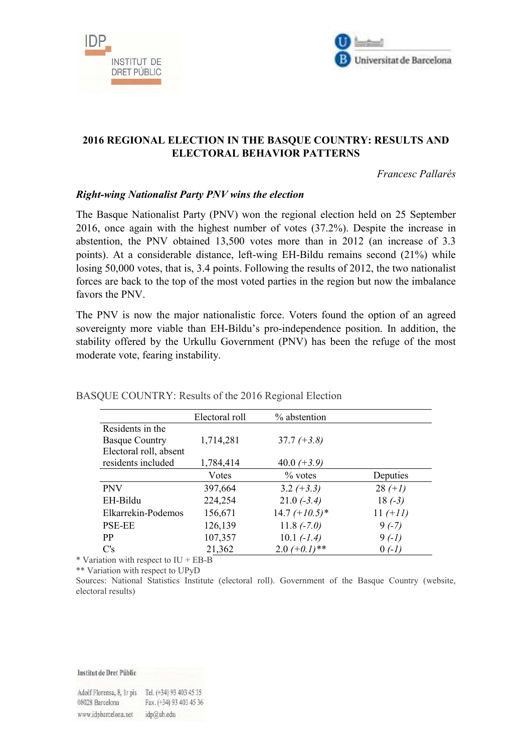



# **2016 REGIONAL ELECTION IN THE BASQUE COUNTRY: RESULTS AND ELECTORAL BEHAVIOR PATTERNS**

*Francesc Pallarés* 

#### *Right-wing Nationalist Party PNV wins the election*

The Basque Nationalist Party (PNV) won the regional election held on 25 September 2016, once again with the highest number of votes (37.2%). Despite the increase in abstention, the PNV obtained 13,500 votes more than in 2012 (an increase of 3.3 points). At a considerable distance, left-wing EH-Bildu remains second (21%) while losing 50,000 votes, that is, 3.4 points. Following the results of 2012, the two nationalist forces are back to the top of the most voted parties in the region but now the imbalance favors the PNV.

The PNV is now the major nationalistic force. Voters found the option of an agreed sovereignty more viable than EH-Bildu's pro-independence position. In addition, the stability offered by the Urkullu Government (PNV) has been the refuge of the most moderate vote, fearing instability.

|                        | Electoral roll | % abstention     |            |
|------------------------|----------------|------------------|------------|
| Residents in the       |                |                  |            |
| <b>Basque Country</b>  | 1,714,281      | $37.7 (+3.8)$    |            |
| Electoral roll, absent |                |                  |            |
| residents included     | 1,784,414      | 40.0 $(+3.9)$    |            |
|                        | Votes          | $\%$ votes       | Deputies   |
| <b>PNV</b>             | 397,664        | $3.2 (+3.3)$     | $28 (+1)$  |
| EH-Bildu               | 224,254        | $21.0(-3.4)$     | $18(-3)$   |
| Elkarrekin-Podemos     | 156,671        | $14.7 (+10.5)^*$ | $11 (+11)$ |
| <b>PSE-EE</b>          | 126,139        | $11.8(-7.0)$     | $9(-7)$    |
| PP                     | 107,357        | $10.1 (-1.4)$    | $9(-1)$    |
| C's                    | 21,362         | $2.0 (+0.1)$ **  | $(-1)$     |

#### BASQUE COUNTRY: Results of the 2016 Regional Election

\* Variation with respect to IU + EB-B

\*\* Variation with respect to UPyD

Sources: National Statistics Institute (electoral roll). Government of the Basque Country (website, electoral results)

Institut de Dret Públic

| Adolf Florensa, 8, 1r pis Tel. (+34) 93 403 45 35 |                         |  |
|---------------------------------------------------|-------------------------|--|
| 08028 Barcelona                                   | Fax. (+34) 93 403 45 36 |  |
| www.idpbarcelona.net                              | idp@ub.edu              |  |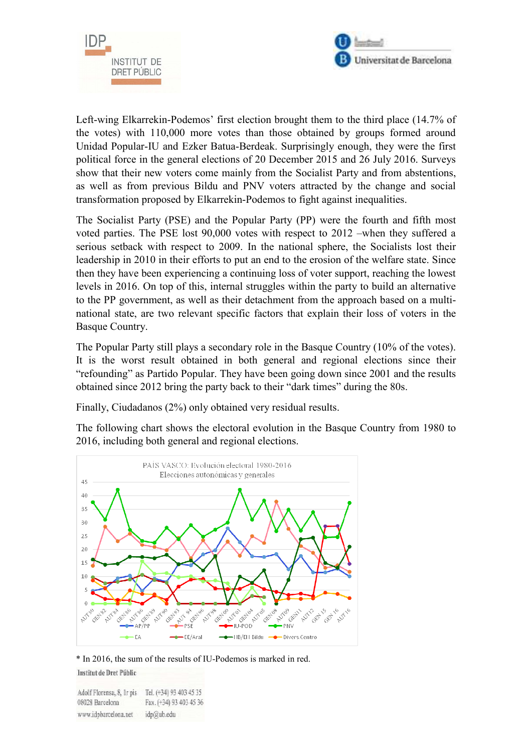



Left-wing Elkarrekin-Podemos' first election brought them to the third place (14.7% of the votes) with 110,000 more votes than those obtained by groups formed around Unidad Popular-IU and Ezker Batua-Berdeak. Surprisingly enough, they were the first political force in the general elections of 20 December 2015 and 26 July 2016. Surveys show that their new voters come mainly from the Socialist Party and from abstentions, as well as from previous Bildu and PNV voters attracted by the change and social transformation proposed by Elkarrekin-Podemos to fight against inequalities.

The Socialist Party (PSE) and the Popular Party (PP) were the fourth and fifth most voted parties. The PSE lost 90,000 votes with respect to 2012 –when they suffered a serious setback with respect to 2009. In the national sphere, the Socialists lost their leadership in 2010 in their efforts to put an end to the erosion of the welfare state. Since then they have been experiencing a continuing loss of voter support, reaching the lowest levels in 2016. On top of this, internal struggles within the party to build an alternative to the PP government, as well as their detachment from the approach based on a multinational state, are two relevant specific factors that explain their loss of voters in the Basque Country.

The Popular Party still plays a secondary role in the Basque Country (10% of the votes). It is the worst result obtained in both general and regional elections since their "refounding" as Partido Popular. They have been going down since 2001 and the results obtained since 2012 bring the party back to their "dark times" during the 80s.

Finally, Ciudadanos (2%) only obtained very residual results.

The following chart shows the electoral evolution in the Basque Country from 1980 to 2016, including both general and regional elections.



\* In 2016, the sum of the results of IU-Podemos is marked in red. Institut de Dret Públic

Adolf Florensa, 8, Ir pis Tel. (+34) 93 403 45 35

Fax. (+34) 93 403 45 36 08028 Barcelona www.idpbarcelona.net idp@ub.edu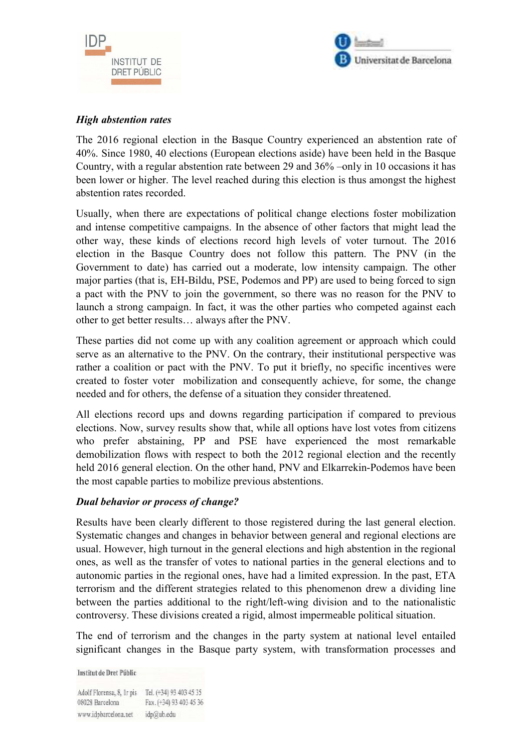



## *High abstention rates*

The 2016 regional election in the Basque Country experienced an abstention rate of 40%. Since 1980, 40 elections (European elections aside) have been held in the Basque Country, with a regular abstention rate between 29 and 36% –only in 10 occasions it has been lower or higher. The level reached during this election is thus amongst the highest abstention rates recorded.

Usually, when there are expectations of political change elections foster mobilization and intense competitive campaigns. In the absence of other factors that might lead the other way, these kinds of elections record high levels of voter turnout. The 2016 election in the Basque Country does not follow this pattern. The PNV (in the Government to date) has carried out a moderate, low intensity campaign. The other major parties (that is, EH-Bildu, PSE, Podemos and PP) are used to being forced to sign a pact with the PNV to join the government, so there was no reason for the PNV to launch a strong campaign. In fact, it was the other parties who competed against each other to get better results… always after the PNV.

These parties did not come up with any coalition agreement or approach which could serve as an alternative to the PNV. On the contrary, their institutional perspective was rather a coalition or pact with the PNV. To put it briefly, no specific incentives were created to foster voter mobilization and consequently achieve, for some, the change needed and for others, the defense of a situation they consider threatened.

All elections record ups and downs regarding participation if compared to previous elections. Now, survey results show that, while all options have lost votes from citizens who prefer abstaining, PP and PSE have experienced the most remarkable demobilization flows with respect to both the 2012 regional election and the recently held 2016 general election. On the other hand, PNV and Elkarrekin-Podemos have been the most capable parties to mobilize previous abstentions.

# *Dual behavior or process of change?*

Results have been clearly different to those registered during the last general election. Systematic changes and changes in behavior between general and regional elections are usual. However, high turnout in the general elections and high abstention in the regional ones, as well as the transfer of votes to national parties in the general elections and to autonomic parties in the regional ones, have had a limited expression. In the past, ETA terrorism and the different strategies related to this phenomenon drew a dividing line between the parties additional to the right/left-wing division and to the nationalistic controversy. These divisions created a rigid, almost impermeable political situation.

The end of terrorism and the changes in the party system at national level entailed significant changes in the Basque party system, with transformation processes and

**Institut de Dret Públic** 

Adolf Florensa, 8, Ir pis Tel. (+34) 93 403 45 35 Fax. (+34) 93 403 45 36 08028 Barcelona www.idpbarcelona.net idp@ub.edu